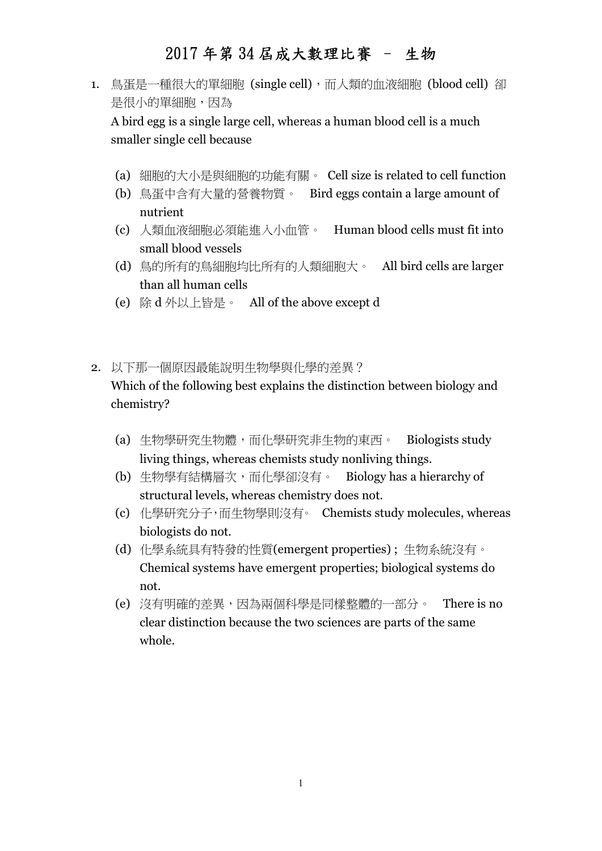- 1. 鳥蛋是一種很大的單細胞 (single cell),而人類的血液細胞 (blood cell) 卻 是很小的單細胞,因為 A bird egg is a single large cell, whereas a human blood cell is a much smaller single cell because
	- (a) 細胞的大小是與細胞的功能有關。 Cell size is related to cell function
	- (b) 鳥蛋中含有大量的營養物質。 Bird eggs contain a large amount of nutrient
	- (c) 人類血液細胞必須能進入小血管。 Human blood cells must fit into small blood vessels
	- (d) 鳥的所有的鳥細胞均比所有的人類細胞大。 All bird cells are larger than all human cells
	- (e) 除 d 外以上皆是。 All of the above except d
- 2. 以下那一個原因最能說明生物學與化學的差異? Which of the following best explains the distinction between biology and chemistry?
	- (a) 生物學研究生物體,而化學研究非生物的東西。 Biologists study living things, whereas chemists study nonliving things.
	- (b) 生物學有結構層次,而化學卻沒有。 Biology has a hierarchy of structural levels, whereas chemistry does not.
	- (c) 化學研究分子,而生物學則沒有。 Chemists study molecules, whereas biologists do not.
	- (d) 化學系統具有特發的性質(emergent properties) ; 生物系統沒有。 Chemical systems have emergent properties; biological systems do not.
	- (e) 沒有明確的差異,因為兩個科學是同樣整體的一部分。 There is no clear distinction because the two sciences are parts of the same whole.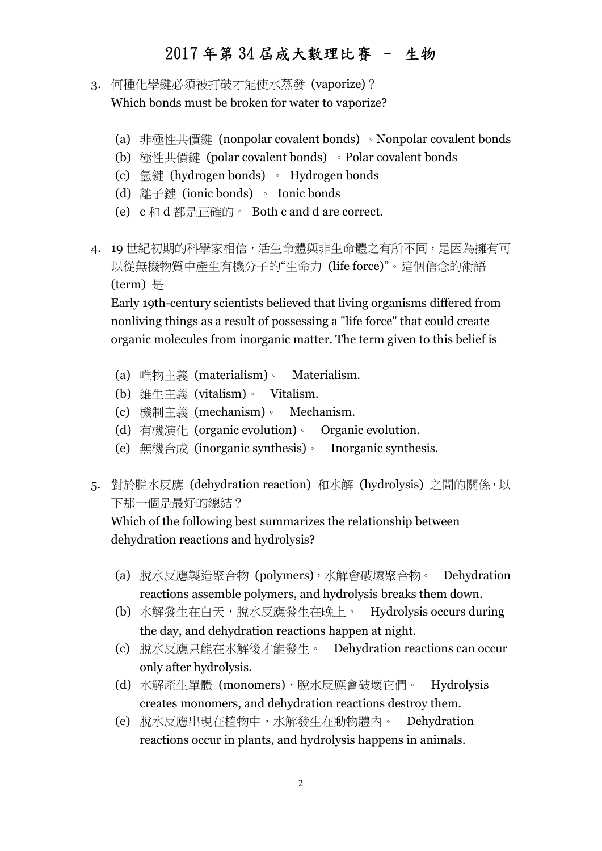- 3. 何種化學鍵必須被打破才能使水蒸發 (vaporize)? Which bonds must be broken for water to vaporize?
	- (a) 非極性共價鍵 (nonpolar covalent bonds) 。Nonpolar covalent bonds
	- (b) 極性共價鍵 (polar covalent bonds) 。Polar covalent bonds
	- (c) 氫鍵 (hydrogen bonds) 。 Hydrogen bonds
	- (d) 離子鍵 (ionic bonds) 。 Ionic bonds
	- (e) c 和 d 都是正確的。 Both c and d are correct.
- 4. 19世紀初期的科學家相信,活生命體與非生命體之有所不同,是因為擁有可 以從無機物質中產生有機分子的"生命力 (life force)"。這個信念的術語 (term) 是

Early 19th-century scientists believed that living organisms differed from nonliving things as a result of possessing a "life force" that could create organic molecules from inorganic matter. The term given to this belief is

- (a) 唯物主義 (materialism)。 Materialism.
- (b) 維生主義 (vitalism)。 Vitalism.
- (c) 機制主義 (mechanism)。 Mechanism.
- (d) 有機演化 (organic evolution)。 Organic evolution.
- (e) 無機合成 (inorganic synthesis)。 Inorganic synthesis.
- 5. 對於脫水反應 (dehydration reaction) 和水解 (hydrolysis) 之間的關係,以 下那一個是最好的總結?

Which of the following best summarizes the relationship between dehydration reactions and hydrolysis?

- (a) 脫水反應製造聚合物 (polymers),水解會破壞聚合物。 Dehydration reactions assemble polymers, and hydrolysis breaks them down.
- (b) 水解發生在白天,脫水反應發生在晚上。 Hydrolysis occurs during the day, and dehydration reactions happen at night.
- (c) 脫水反應只能在水解後才能發生。 Dehydration reactions can occur only after hydrolysis.
- (d) 水解產生單體 (monomers),脫水反應會破壞它們。 Hydrolysis creates monomers, and dehydration reactions destroy them.
- (e) 脫水反應出現在植物中,水解發生在動物體內。 Dehydration reactions occur in plants, and hydrolysis happens in animals.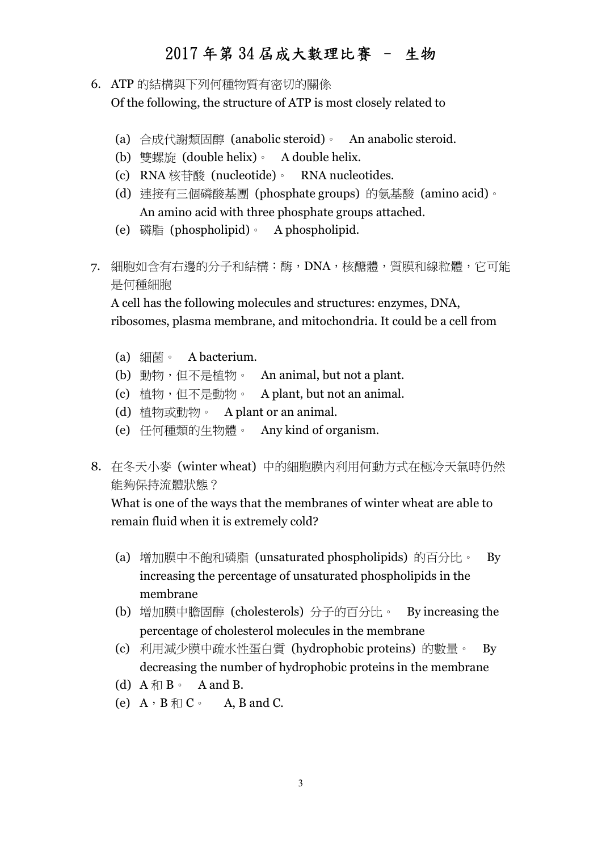- 6. ATP 的結構與下列何種物質有密切的關係 Of the following, the structure of ATP is most closely related to
	- (a) 合成代謝類固醇 (anabolic steroid)。 An anabolic steroid.
	- (b) 雙螺旋 (double helix)。 A double helix.
	- (c) RNA 核苷酸 (nucleotide)。 RNA nucleotides.
	- (d) 連接有三個磷酸基團 (phosphate groups) 的氨基酸 (amino acid)。 An amino acid with three phosphate groups attached.
	- (e) 磷脂 (phospholipid)。 A phospholipid.
- 7. 細胞如含有右邊的分子和結構:酶,DNA,核醣體,質膜和線粒體,它可能 是何種細胞

A cell has the following molecules and structures: enzymes, DNA, ribosomes, plasma membrane, and mitochondria. It could be a cell from

- (a) 細菌。 A bacterium.
- (b) 動物,但不是植物。 An animal, but not a plant.
- (c) 植物, 但不是動物。 A plant, but not an animal.
- (d) 植物或動物。 A plant or an animal.
- (e) 任何種類的生物體。 Any kind of organism.
- 8. 在冬天小麥 (winter wheat) 中的細胞膜內利用何動方式在極冷天氣時仍然 能夠保持流體狀態?

What is one of the ways that the membranes of winter wheat are able to remain fluid when it is extremely cold?

- (a) 增加膜中不飽和磷脂 (unsaturated phospholipids) 的百分比。 By increasing the percentage of unsaturated phospholipids in the membrane
- (b) 增加膜中膽固醇 (cholesterols) 分子的百分比。 By increasing the percentage of cholesterol molecules in the membrane
- (c) 利用減少膜中疏水性蛋白質 (hydrophobic proteins) 的數量。 By decreasing the number of hydrophobic proteins in the membrane
- (d)  $A \nparallel B \cdot A$  and B.
- (e)  $A \cdot B \nleftrightarrow C \cdot A$ , B and C.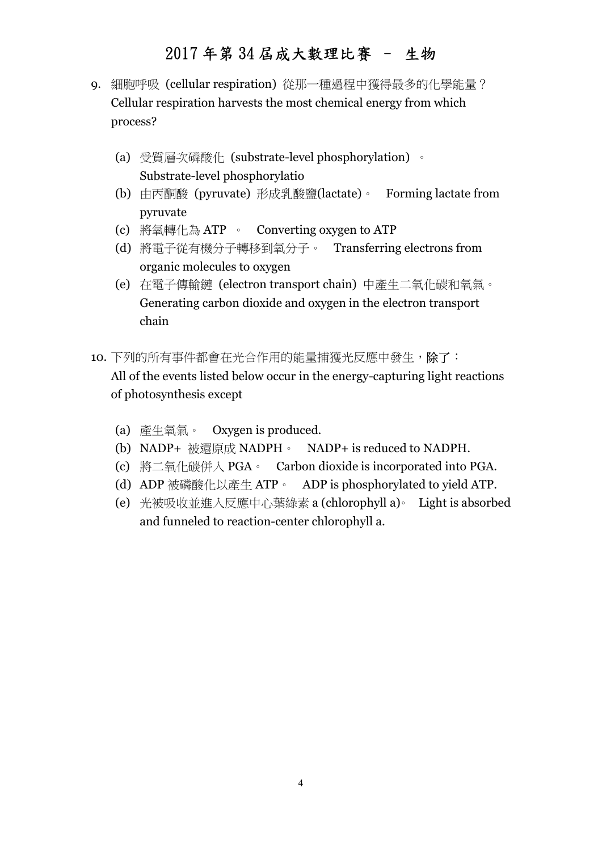- 9. 細胞呼吸 (cellular respiration) 從那一種過程中獲得最多的化學能量? Cellular respiration harvests the most chemical energy from which process?
	- (a) 受質層次磷酸化 (substrate-level phosphorylation) 。 Substrate-level phosphorylatio
	- (b) 由丙酮酸 (pyruvate) 形成乳酸鹽(lactate)。 Forming lactate from pyruvate
	- (c) 將氧轉化為 ATP 。 Converting oxygen to ATP
	- (d) 將電子從有機分子轉移到氧分子。 Transferring electrons from organic molecules to oxygen
	- (e) 在電子傳輸鏈 (electron transport chain) 中產生二氧化碳和氧氣。 Generating carbon dioxide and oxygen in the electron transport chain
- 10. 下列的所有事件都會在光合作用的能量捕獲光反應中發生, 除了: All of the events listed below occur in the energy-capturing light reactions of photosynthesis except
	- (a) 產生氧氣。 Oxygen is produced.
	- (b) NADP+ 被還原成 NADPH。 NADP+ is reduced to NADPH.
	- (c) 將二氧化碳併入 PGA。 Carbon dioxide is incorporated into PGA.
	- (d) ADP 被磷酸化以產生 ATP。 ADP is phosphorylated to yield ATP.
	- (e) 光被吸收並進入反應中心葉綠素 a (chlorophyll a)。 Light is absorbed and funneled to reaction-center chlorophyll a.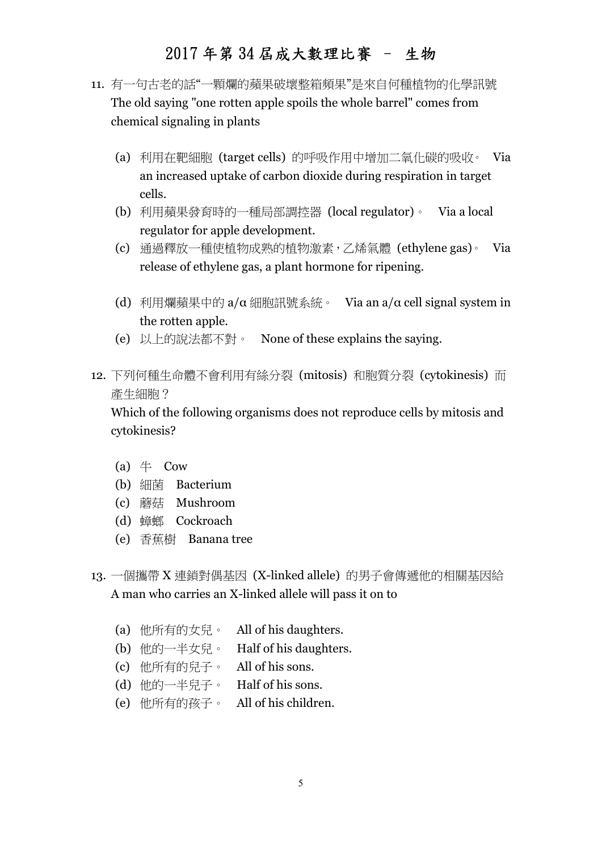- 11. 有一句古老的話"一顆爛的蘋果破壞整箱頻果"是來自何種植物的化學訊號 The old saying "one rotten apple spoils the whole barrel" comes from chemical signaling in plants
	- (a) 利用在靶細胞 (target cells) 的呼吸作用中增加二氧化碳的吸收。 Via an increased uptake of carbon dioxide during respiration in target cells.
	- (b) 利用蘋果發育時的一種局部調控器 (local regulator)。 Via a local regulator for apple development.
	- (c) 通過釋放一種使植物成熟的植物激素,乙烯氣體 (ethylene gas)。 Via release of ethylene gas, a plant hormone for ripening.
	- (d) 利用爛蘋果中的  $a/\alpha$  細胞訊號系統。 Via an  $a/\alpha$  cell signal system in the rotten apple.
	- (e) 以上的說法都不對。 None of these explains the saying.
- 12. 下列何種生命體不會利用有絲分裂 (mitosis) 和胞質分裂 (cytokinesis) 而 產生細胞?

Which of the following organisms does not reproduce cells by mitosis and cytokinesis?

- (a)  $\#$  Cow
- (b) 細菌 Bacterium
- (c) 蘑菇 Mushroom
- (d) 蟑螂 Cockroach
- (e) 香蕉樹 Banana tree
- 13. 一個攜帶 X 連鎖對偶基因 (X-linked allele) 的男子會傳遞他的相關基因給 A man who carries an X-linked allele will pass it on to
	- (a) 他所有的女兒。 All of his daughters.
	- (b) 他的一半女兒。 Half of his daughters.
	- (c) 他所有的兒子。 All of his sons.
	- (d) 他的一半兒子。 Half of his sons.
	- (e) 他所有的孩子。 All of his children.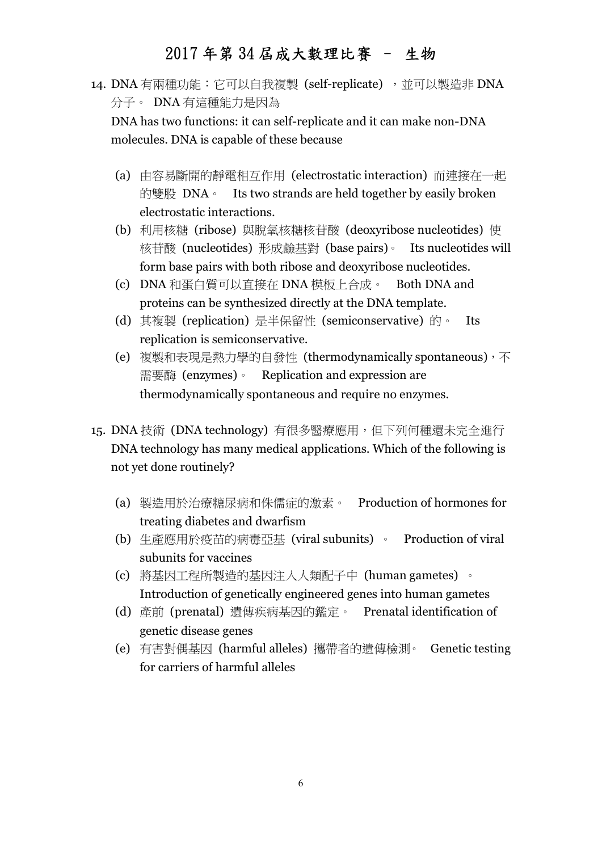14. DNA 有兩種功能:它可以自我複製 (self-replicate), 並可以製造非 DNA 分子。 DNA 有這種能力是因為

DNA has two functions: it can self-replicate and it can make non-DNA molecules. DNA is capable of these because

- (a) 由容易斷開的靜電相互作用 (electrostatic interaction) 而連接在一起 的雙股 DNA <sup>。</sup> Its two strands are held together by easily broken electrostatic interactions.
- (b) 利用核糖 (ribose) 與脫氧核糖核苷酸 (deoxyribose nucleotides) 使 核苷酸 (nucleotides) 形成鹼基對 (base pairs)。 Its nucleotides will form base pairs with both ribose and deoxyribose nucleotides.
- (c) DNA 和蛋白質可以直接在 DNA 模板上合成。 Both DNA and proteins can be synthesized directly at the DNA template.
- (d) 其複製 (replication) 是半保留性 (semiconservative) 的。 Its replication is semiconservative.
- (e) 複製和表現是熱力學的自發性 (thermodynamically spontaneous), 不 需要酶 (enzymes)。 Replication and expression are thermodynamically spontaneous and require no enzymes.
- 15. DNA 技術 (DNA technology) 有很多醫療應用, 但下列何種還未完全進行 DNA technology has many medical applications. Which of the following is not yet done routinely?
	- (a) 製造用於治療糖尿病和侏儒症的激素。 Production of hormones for treating diabetes and dwarfism
	- (b) 生產應用於疫苗的病毒亞基 (viral subunits) 。 Production of viral subunits for vaccines
	- (c) 將基因工程所製造的基因注入人類配子中 (human gametes) 。 Introduction of genetically engineered genes into human gametes
	- (d) 產前 (prenatal) 遺傳疾病基因的鑑定。 Prenatal identification of genetic disease genes
	- (e) 有害對偶基因 (harmful alleles) 攜帶者的遺傳檢測。 Genetic testing for carriers of harmful alleles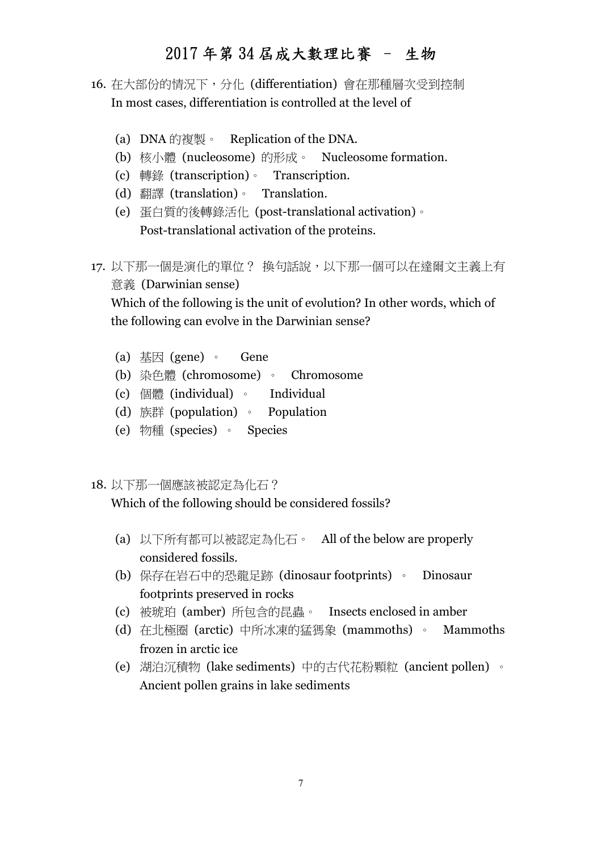- 16. 在大部份的情況下,分化 (differentiation) 會在那種層次受到控制 In most cases, differentiation is controlled at the level of
	- (a) DNA 的複製。 Replication of the DNA.
	- (b) 核小體 (nucleosome) 的形成。 Nucleosome formation.
	- (c) 轉錄 (transcription)。 Transcription.
	- (d) 翻譯 (translation)。 Translation.
	- (e) 蛋白質的後轉錄活化 (post-translational activation)。 Post-translational activation of the proteins.
- 17. 以下那一個是演化的單位? 換句話說,以下那一個可以在達爾文主義上有 意義 (Darwinian sense)

Which of the following is the unit of evolution? In other words, which of the following can evolve in the Darwinian sense?

- (a) 基因 (gene) 。 Gene
- (b) 染色體 (chromosome) 。 Chromosome
- (c) 個體 (individual) 。 Individual
- (d) 族群 (population) 。 Population
- (e) 物種 (species) 。 Species
- 18. 以下那一個應該被認定為化石?

Which of the following should be considered fossils?

- (a) 以下所有都可以被認定為化石。 All of the below are properly considered fossils.
- (b) 保存在岩石中的恐龍足跡 (dinosaur footprints) 。 Dinosaur footprints preserved in rocks
- (c) 被琥珀 (amber) 所包含的昆蟲。 Insects enclosed in amber
- (d) 在北極圈 (arctic) 中所冰凍的猛獁象 (mammoths) 。 Mammoths frozen in arctic ice
- (e) 湖泊沉積物 (lake sediments) 中的古代花粉顆粒 (ancient pollen) 。 Ancient pollen grains in lake sediments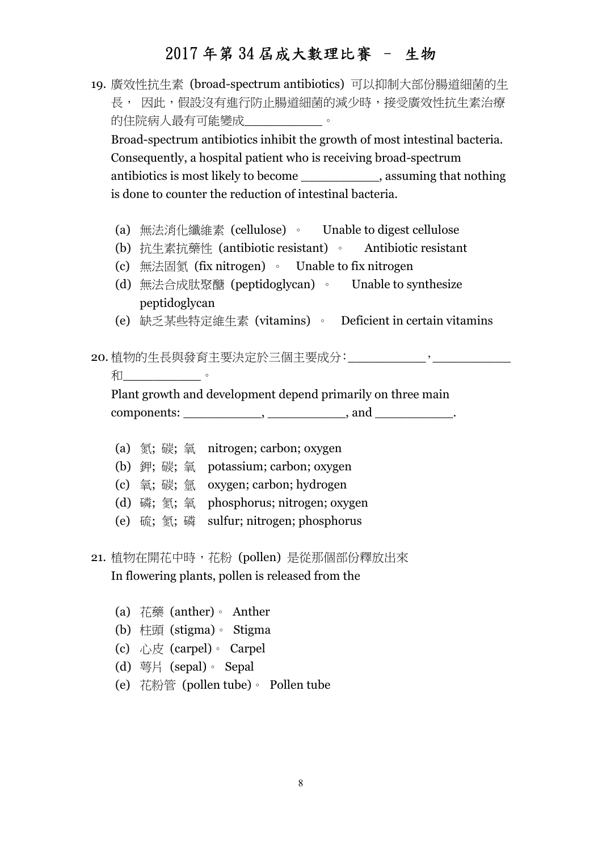19. 廣效性抗生素 (broad-spectrum antibiotics) 可以抑制大部份腸道細菌的生 長, 因此,假設沒有進行防止腸道細菌的減少時,接受廣效性抗生素治療 的住院病人最有可能變成\_\_\_\_\_\_\_\_\_\_\_。

Broad-spectrum antibiotics inhibit the growth of most intestinal bacteria. Consequently, a hospital patient who is receiving broad-spectrum antibiotics is most likely to become \_\_\_\_\_\_\_\_\_\_, assuming that nothing is done to counter the reduction of intestinal bacteria.

- (a) 無法消化纖維素 (cellulose) 。 Unable to digest cellulose
- (b) 抗生素抗藥性 (antibiotic resistant) 。 Antibiotic resistant
- (c) 無法固氮 (fix nitrogen) 。 Unable to fix nitrogen
- (d) 無法合成肽聚醣 (peptidoglycan) 。 Unable to synthesize peptidoglycan
- (e) 缺乏某些特定維生素 (vitamins) 。 Deficient in certain vitamins
- 20. 植物的生長與發育主要決定於三個主要成分: \_\_\_\_\_\_\_\_\_\_\_\_\_\_,
	- 和

Plant growth and development depend primarily on three main  $components:$  \_\_\_\_\_\_\_\_\_\_\_\_, \_\_\_\_\_\_\_\_\_\_\_\_\_\_, and \_\_\_\_\_\_\_\_\_\_\_\_.

- (a) 氮; 碳; 氧 nitrogen; carbon; oxygen (b) 鉀; 碳; 氧 potassium; carbon; oxygen (c) 氧; 碳; 氫 oxygen; carbon; hydrogen (d) 磷; 氮; 氧 phosphorus; nitrogen; oxygen (e) 硫; 氮; 磷 sulfur; nitrogen; phosphorus
- 21. 植物在開花中時,花粉 (pollen) 是從那個部份釋放出來 In flowering plants, pollen is released from the
	- (a) 花藥 (anther)。 Anther
	- (b) 柱頭 (stigma)。 Stigma
	- (c) 心皮 (carpel)。 Carpel
	- (d) 萼片 (sepal)。 Sepal
	- (e) 花粉管 (pollen tube)。 Pollen tube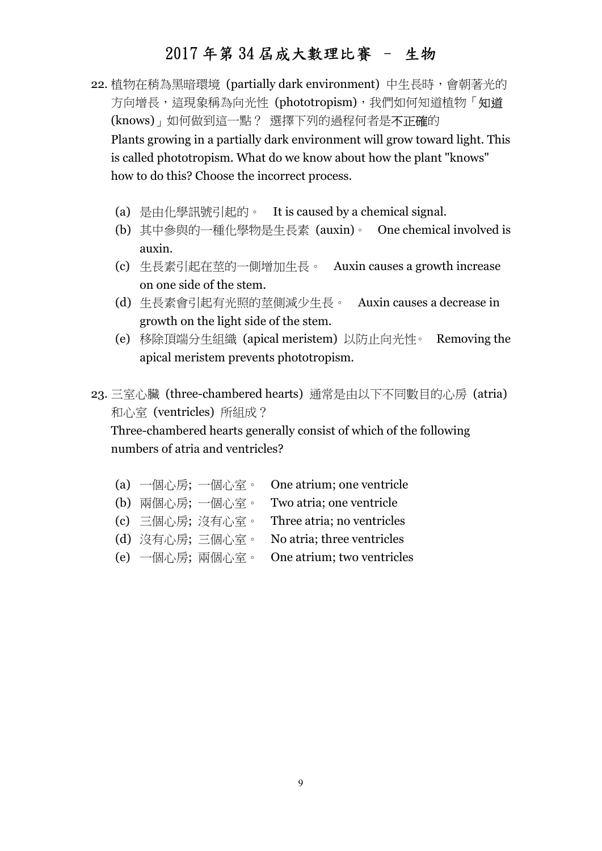- 22. 植物在稍為黑暗環境 (partially dark environment) 中生長時,會朝著光的 方向增長,這現象稱為向光性 (phototropism),我們如何知道植物「知道 (knows)」如何做到這一點? 選擇下列的過程何者是不正確的 Plants growing in a partially dark environment will grow toward light. This is called phototropism. What do we know about how the plant "knows" how to do this? Choose the incorrect process.
	- (a) 是由化學訊號引起的。 It is caused by a chemical signal.
	- (b) 其中參與的一種化學物是生長素 (auxin)。 One chemical involved is auxin.
	- (c) 生長素引起在莖的一側增加生長。 Auxin causes a growth increase on one side of the stem.
	- (d) 生長素會引起有光照的莖側減少生長。 Auxin causes a decrease in growth on the light side of the stem.
	- (e) 移除頂端分生組織 (apical meristem) 以防止向光性。 Removing the apical meristem prevents phototropism.
- 23. 三室心臟 (three-chambered hearts) 通常是由以下不同數目的心房 (atria) 和心室 (ventricles) 所組成?

Three-chambered hearts generally consist of which of the following numbers of atria and ventricles?

- (a) 一個心房; 一個心室。 One atrium; one ventricle
- (b) 兩個心房; 一個心室。 Two atria; one ventricle
- (c) 三個心房; 沒有心室。 Three atria; no ventricles
- (d) 沒有心房; 三個心室。 No atria; three ventricles
- (e) 一個心房; 兩個心室。 One atrium; two ventricles